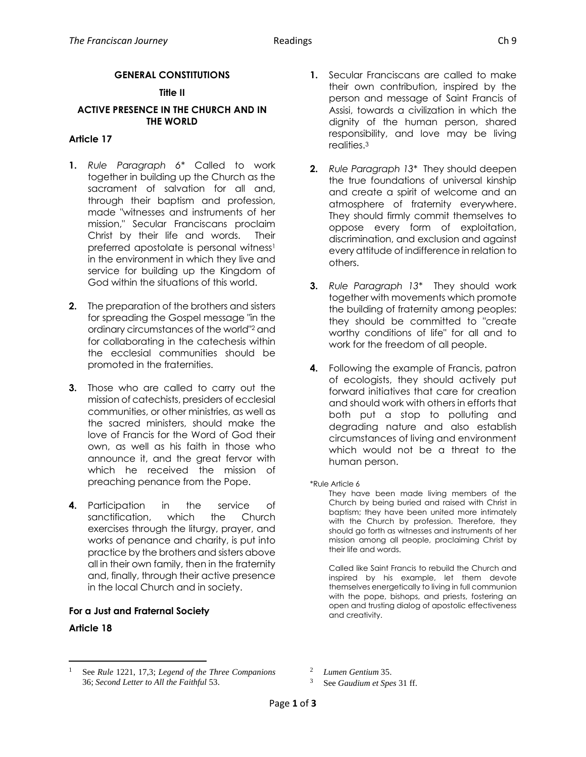## **GENERAL CONSTITUTIONS**

# **Title II**

# **ACTIVE PRESENCE IN THE CHURCH AND IN THE WORLD**

# **Article 17**

- **1.** *Rule Paragraph 6\** Called to work together in building up the Church as the sacrament of salvation for all and, through their baptism and profession, made "witnesses and instruments of her mission," Secular Franciscans proclaim Christ by their life and words. Their preferred apostolate is personal witness<sup>1</sup> in the environment in which they live and service for building up the Kingdom of God within the situations of this world.
- **2.** The preparation of the brothers and sisters for spreading the Gospel message "in the ordinary circumstances of the world"<sup>2</sup> and for collaborating in the catechesis within the ecclesial communities should be promoted in the fraternities.
- **3.** Those who are called to carry out the mission of catechists, presiders of ecclesial communities, or other ministries, as well as the sacred ministers, should make the love of Francis for the Word of God their own, as well as his faith in those who announce it, and the great fervor with which he received the mission of preaching penance from the Pope.
- **4.** Participation in the service of sanctification, which the Church exercises through the liturgy, prayer, and works of penance and charity, is put into practice by the brothers and sisters above all in their own family, then in the fraternity and, finally, through their active presence in the local Church and in society.

# **For a Just and Fraternal Society**

# **Article 18**

- **1.** Secular Franciscans are called to make their own contribution, inspired by the person and message of Saint Francis of Assisi, towards a civilization in which the dignity of the human person, shared responsibility, and love may be living realities.<sup>3</sup>
- **2.** *Rule Paragraph 13\** They should deepen the true foundations of universal kinship and create a spirit of welcome and an atmosphere of fraternity everywhere. They should firmly commit themselves to oppose every form of exploitation, discrimination, and exclusion and against every attitude of indifference in relation to others.
- **3.** *Rule Paragraph 13\** They should work together with movements which promote the building of fraternity among peoples: they should be committed to "create worthy conditions of life" for all and to work for the freedom of all people.
- **4.** Following the example of Francis, patron of ecologists, they should actively put forward initiatives that care for creation and should work with others in efforts that both put a stop to polluting and degrading nature and also establish circumstances of living and environment which would not be a threat to the human person.
- \*Rule Article 6

They have been made living members of the Church by being buried and raised with Christ in baptism; they have been united more intimately with the Church by profession. Therefore, they should go forth as witnesses and instruments of her mission among all people, proclaiming Christ by their life and words.

Called like Saint Francis to rebuild the Church and inspired by his example, let them devote themselves energetically to living in full communion with the pope, bishops, and priests, fostering an open and trusting dialog of apostolic effectiveness and creativity.

<sup>1</sup> See *Rule* 1221, 17,3; *Legend of the Three Companions* 36; *Second Letter to All the Faithful* 53.

<sup>2</sup> *Lumen Gentium* 35.

<sup>3</sup> See *Gaudium et Spes* 31 ff.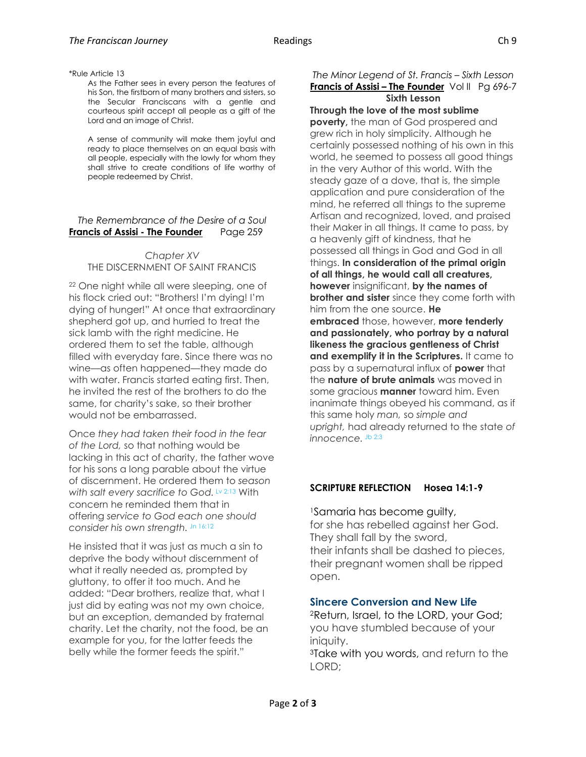As the Father sees in every person the features of his Son, the firstborn of many brothers and sisters, so the Secular Franciscans with a gentle and courteous spirit accept all people as a gift of the Lord and an image of Christ.

A sense of community will make them joyful and ready to place themselves on an equal basis with all people, especially with the lowly for whom they shall strive to create conditions of life worthy of people redeemed by Christ.

#### *The Remembrance of the Desire of a Soul* **Francis of Assisi - The Founder** Page 259

#### *Chapter XV* THE DISCERNMENT OF SAINT FRANCIS

<sup>22</sup> One night while all were sleeping, one of his flock cried out: "Brothers! I'm dying! I'm dying of hunger!" At once that extraordinary shepherd got up, and hurried to treat the sick lamb with the right medicine. He ordered them to set the table, although filled with everyday fare. Since there was no wine—as often happened—they made do with water. Francis started eating first. Then, he invited the rest of the brothers to do the same, for charity's sake, so their brother would not be embarrassed.

Once *they had taken their food in the fear of the Lord,* so that nothing would be lacking in this act of charity, the father wove for his sons a long parable about the virtue of discernment. He ordered them to *season*  with salt every sacrifice to God. Ly 2:13 With concern he reminded them that in offering *service to God each one should consider his own strength.* Jn 16:12

He insisted that it was just as much a sin to deprive the body without discernment of what it really needed as, prompted by gluttony, to offer it too much. And he added: "Dear brothers, realize that, what I just did by eating was not my own choice, but an exception, demanded by fraternal charity. Let the charity, not the food, be an example for you, for the latter feeds the belly while the former feeds the spirit."

*The Minor Legend of St. Francis – Sixth Lesson* **Francis of Assisi – The Founder** Vol II Pg 696-7 **Sixth Lesson**

#### **Through the love of the most sublime poverty,** the man of God prospered and grew rich in holy simplicity. Although he certainly possessed nothing of his own in this world, he seemed to possess all good things in the very Author of this world. With the steady gaze of a dove, that is, the simple application and pure consideration of the mind, he referred all things to the supreme Artisan and recognized, loved, and praised their Maker in all things. It came to pass, by a heavenly gift of kindness, that he possessed all things in God and God in all things. **In consideration of the primal origin of all things, he would call all creatures, however** insignificant, **by the names of brother and sister** since they come forth with him from the one source. **He embraced** those, however, **more tenderly and passionately, who portray by a natural likeness the gracious gentleness of Christ**  and exemplify it in the Scriptures. It came to pass by a supernatural influx of **power** that the **nature of brute animals** was moved in some gracious **manner** toward him. Even inanimate things obeyed his command, as if this same holy *man,* so *simple and upright,* had already returned to the state *of innocence.* Jb 2:3

## **SCRIPTURE REFLECTION Hosea 14:1-9**

<sup>1</sup>Samaria has become guilty, for she has rebelled against her God. They shall fall by the sword, their infants shall be dashed to pieces, their pregnant women shall be ripped open.

## **Sincere Conversion and New Life**

<sup>2</sup>Return, Israel, to the LORD, your God; you have stumbled because of your iniquity.

<sup>3</sup>Take with you words, and return to the LORD;